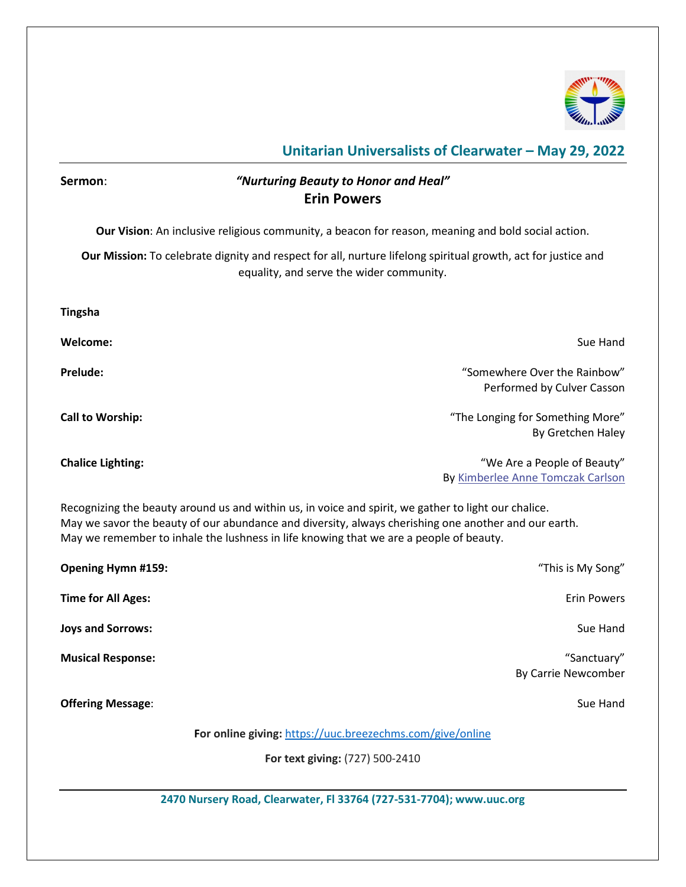

## **Unitarian Universalists of Clearwater – May 29, 2022**

# **2470 Nursery Road, Clearwater, Fl 33764 (727-531-7704); www.uuc.org Sermon**: *"Nurturing Beauty to Honor and Heal"* **Erin Powers Our Vision**: An inclusive religious community, a beacon for reason, meaning and bold social action. **Our Mission:** To celebrate dignity and respect for all, nurture lifelong spiritual growth, act for justice and equality, and serve the wider community. **Tingsha Welcome:** Sue Hand **Prelude:** "Somewhere Over the Rainbow" Performed by Culver Casson **Call to Worship:** "The Longing for Something More" By Gretchen Haley **Chalice Lighting:** The control of Beauty and the control of Beauty and the control of Beauty and the control of Beauty and the control of Beauty and the control of Beauty and the control of Beauty and the control of Beaut By [Kimberlee Anne Tomczak Carlson](https://www.uua.org/offices/people/kimberlee-anne-tomczak-carlson) Recognizing the beauty around us and within us, in voice and spirit, we gather to light our chalice. May we savor the beauty of our abundance and diversity, always cherishing one another and our earth. May we remember to inhale the lushness in life knowing that we are a people of beauty. **Opening Hymn #159:** "This is My Song" **Time for All Ages:** Erin Powers **Example 2018** 2019 12:30 2019 12:30 2019 12:30 2019 12:30 2019 12:30 2019 12:30 2019 12:30 2019 12:30 2019 12:30 2019 12:30 2019 12:30 2019 12:30 2019 12:30 2019 12:30 2019 12:30 2019 12:3 **Joys and Sorrows:** Sue Hand **Musical Response:** "Sanctuary" By Carrie Newcomber **Offering Message:** Sue Hand **For online giving:** <https://uuc.breezechms.com/give/online> **For text giving:** (727) 500-2410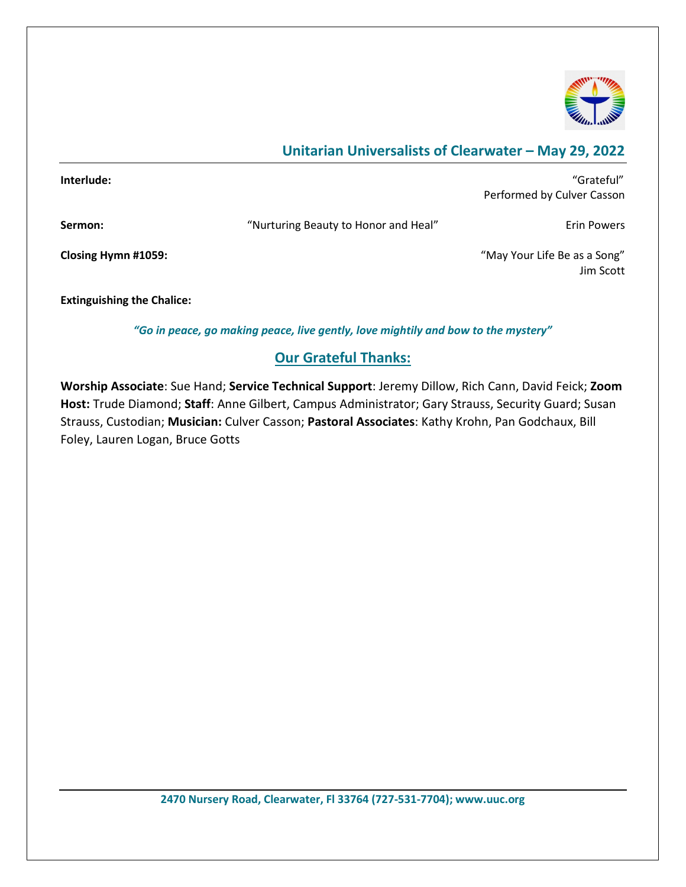

# **Unitarian Universalists of Clearwater – May 29, 2022**

| Interlude:                        |                                      | "Grateful"<br>Performed by Culver Casson  |
|-----------------------------------|--------------------------------------|-------------------------------------------|
|                                   |                                      |                                           |
| Sermon:                           | "Nurturing Beauty to Honor and Heal" | Erin Powers                               |
| Closing Hymn #1059:               |                                      | "May Your Life Be as a Song"<br>Jim Scott |
| <b>Extinguishing the Chalice:</b> |                                      |                                           |

*"Go in peace, go making peace, live gently, love mightily and bow to the mystery"*

### **Our Grateful Thanks:**

**Worship Associate**: Sue Hand; **Service Technical Support**: Jeremy Dillow, Rich Cann, David Feick; **Zoom Host:** Trude Diamond; **Staff**: Anne Gilbert, Campus Administrator; Gary Strauss, Security Guard; Susan Strauss, Custodian; **Musician:** Culver Casson; **Pastoral Associates**: Kathy Krohn, Pan Godchaux, Bill Foley, Lauren Logan, Bruce Gotts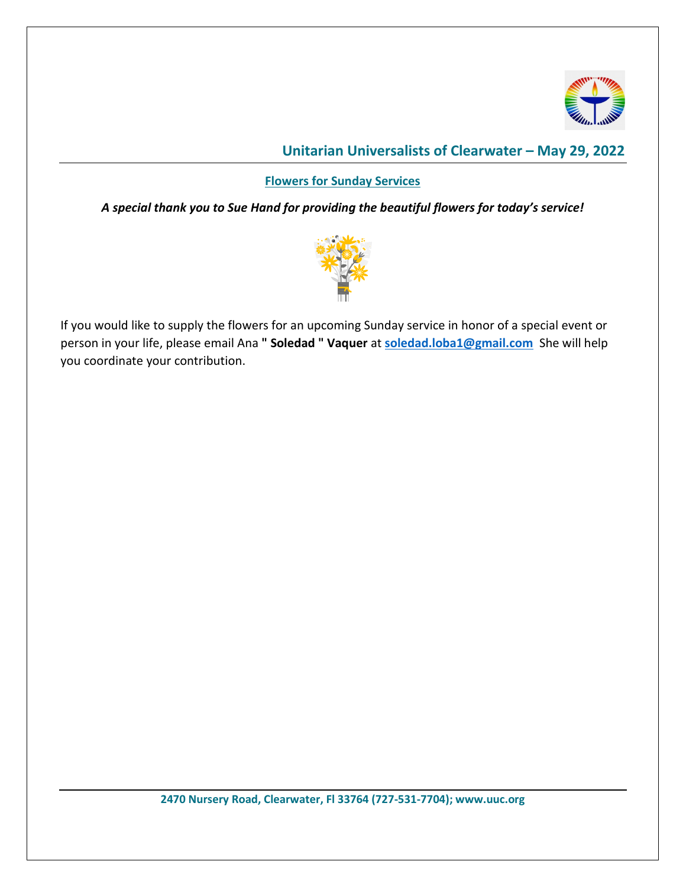

## **Unitarian Universalists of Clearwater – May 29, 2022**

#### **Flowers for Sunday Services**

*A special thank you to Sue Hand for providing the beautiful flowers for today's service!*



If you would like to supply the flowers for an upcoming Sunday service in honor of a special event or person in your life, please email Ana **" Soledad " Vaquer** at **[soledad.loba1@gmail.com](mailto:soledad.loba1@gmail.com)** She will help you coordinate your contribution.